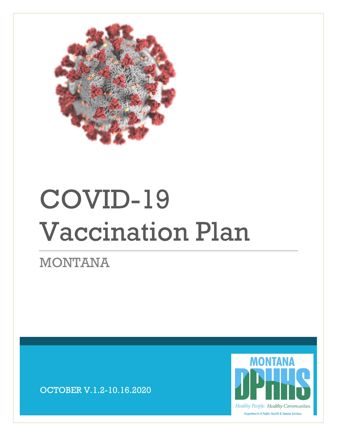

# COVID-19 Vaccination Plan

MONTANA

OCTOBER V.1.2-10.16.2020

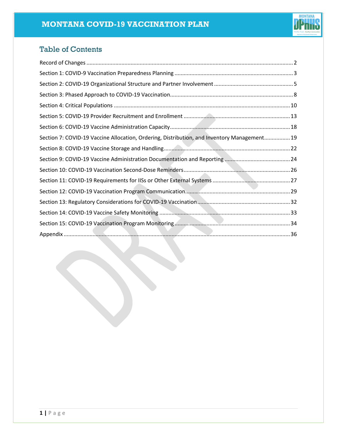

# Table of Contents

<span id="page-1-0"></span>

| Section 7: COVID-19 Vaccine Allocation, Ordering, Distribution, and Inventory Management 19 |  |
|---------------------------------------------------------------------------------------------|--|
|                                                                                             |  |
|                                                                                             |  |
|                                                                                             |  |
|                                                                                             |  |
|                                                                                             |  |
|                                                                                             |  |
|                                                                                             |  |
|                                                                                             |  |
|                                                                                             |  |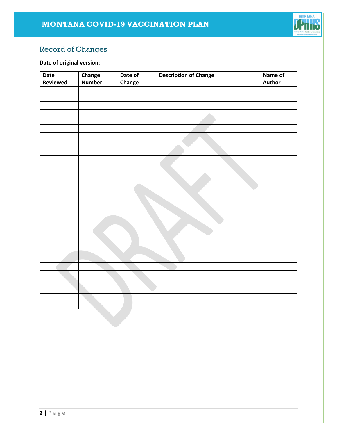

# Record of Changes

# **Date of original version:**

| Date     | Change        | Date of | <b>Description of Change</b> | Name of |
|----------|---------------|---------|------------------------------|---------|
| Reviewed | <b>Number</b> | Change  |                              | Author  |
|          |               |         |                              |         |
|          |               |         |                              |         |
|          |               |         |                              |         |
|          |               |         | a.                           |         |
|          |               |         |                              |         |
|          |               |         |                              |         |
|          |               |         |                              |         |
|          |               |         |                              |         |
|          |               |         |                              |         |
|          |               |         |                              |         |
|          |               |         |                              |         |
|          |               |         |                              |         |
|          |               |         |                              |         |
|          |               |         |                              |         |
|          |               |         |                              |         |
|          |               |         |                              |         |
|          |               |         |                              |         |
|          |               |         |                              |         |
|          |               |         |                              |         |
|          |               |         |                              |         |
|          |               |         |                              |         |
|          |               |         |                              |         |
|          |               |         |                              |         |
|          |               |         |                              |         |
|          |               |         |                              |         |
|          |               |         |                              |         |
|          |               |         |                              |         |
|          |               |         |                              |         |
|          |               |         |                              |         |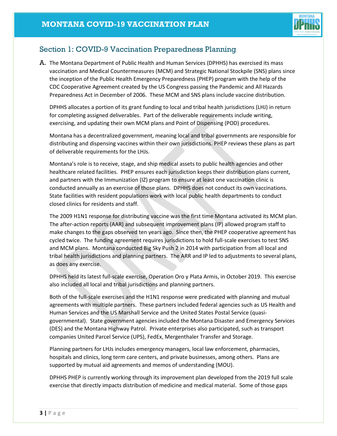

# <span id="page-3-0"></span>Section 1: COVID-9 Vaccination Preparedness Planning

A. The Montana Department of Public Health and Human Services (DPHHS) has exercised its mass vaccination and Medical Countermeasures (MCM) and Strategic National Stockpile (SNS) plans since the inception of the Public Health Emergency Preparedness (PHEP) program with the help of the CDC Cooperative Agreement created by the US Congress passing the Pandemic and All Hazards Preparedness Act in December of 2006. These MCM and SNS plans include vaccine distribution.

DPHHS allocates a portion of its grant funding to local and tribal health jurisdictions (LHJ) in return for completing assigned deliverables. Part of the deliverable requirements include writing, exercising, and updating their own MCM plans and Point of Dispensing (POD) procedures.

Montana has a decentralized government, meaning local and tribal governments are responsible for distributing and dispensing vaccines within their own jurisdictions. PHEP reviews these plans as part of deliverable requirements for the LHJs.

Montana's role is to receive, stage, and ship medical assets to public health agencies and other healthcare related facilities. PHEP ensures each jurisdiction keeps their distribution plans current, and partners with the Immunization (IZ) program to ensure at least one vaccination clinic is conducted annually as an exercise of those plans. DPHHS does not conduct its own vaccinations. State facilities with resident populations work with local public health departments to conduct closed clinics for residents and staff.

The 2009 H1N1 response for distributing vaccine was the first time Montana activated its MCM plan. The after-action reports (AAR) and subsequent improvement plans (IP) allowed program staff to make changes to the gaps observed ten years ago. Since then, the PHEP cooperative agreement has cycled twice. The funding agreement requires jurisdictions to hold full-scale exercises to test SNS and MCM plans. Montana conducted Big Sky Push 2 in 2014 with participation from all local and tribal health jurisdictions and planning partners. The ARR and IP led to adjustments to several plans, as does any exercise.

DPHHS held its latest full-scale exercise, Operation Oro y Plata Armis, in October 2019. This exercise also included all local and tribal jurisdictions and planning partners.

Both of the full-scale exercises and the H1N1 response were predicated with planning and mutual agreements with multiple partners. These partners included federal agencies such as US Health and Human Services and the US Marshall Service and the United States Postal Service (quasigovernmental). State government agencies included the Montana Disaster and Emergency Services (DES) and the Montana Highway Patrol. Private enterprises also participated, such as transport companies United Parcel Service (UPS), FedEx, Mergenthaler Transfer and Storage.

Planning partners for LHJs includes emergency managers, local law enforcement, pharmacies, hospitals and clinics, long term care centers, and private businesses, among others. Plans are supported by mutual aid agreements and memos of understanding (MOU).

DPHHS PHEP is currently working through its improvement plan developed from the 2019 full scale exercise that directly impacts distribution of medicine and medical material. Some of those gaps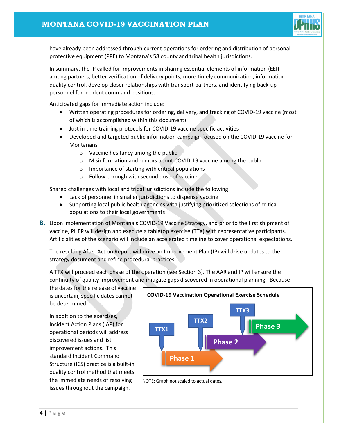

have already been addressed through current operations for ordering and distribution of personal protective equipment (PPE) to Montana's 58 county and tribal health jurisdictions.

In summary, the IP called for improvements in sharing essential elements of information (EEI) among partners, better verification of delivery points, more timely communication, information quality control, develop closer relationships with transport partners, and identifying back-up personnel for incident command positions.

Anticipated gaps for immediate action include:

- Written operating procedures for ordering, delivery, and tracking of COVID-19 vaccine (most of which is accomplished within this document)
- Just in time training protocols for COVID-19 vaccine specific activities
- Developed and targeted public information campaign focused on the COVID-19 vaccine for Montanans
	- o Vaccine hesitancy among the public
	- o Misinformation and rumors about COVID-19 vaccine among the public
	- o Importance of starting with critical populations
	- o Follow-through with second dose of vaccine

Shared challenges with local and tribal jurisdictions include the following

- Lack of personnel in smaller jurisdictions to dispense vaccine
- Supporting local public health agencies with justifying prioritized selections of critical populations to their local governments
- B. Upon implementation of Montana's COVID-19 Vaccine Strategy, and prior to the first shipment of vaccine, PHEP will design and execute a tabletop exercise (TTX) with representative participants. Artificialities of the scenario will include an accelerated timeline to cover operational expectations.

The resulting After-Action Report will drive an Improvement Plan (IP) will drive updates to the strategy document and refine procedural practices.

A TTX will proceed each phase of the operation (see Section 3). The AAR and IP will ensure the continuity of quality improvement and mitigate gaps discovered in operational planning. Because

the dates for the release of vaccine is uncertain, specific dates cannot be determined.

In addition to the exercises, Incident Action Plans (IAP) for operational periods will address discovered issues and list improvement actions. This standard Incident Command Structure (ICS) practice is a built-in quality control method that meets the immediate needs of resolving issues throughout the campaign.



NOTE: Graph not scaled to actual dates.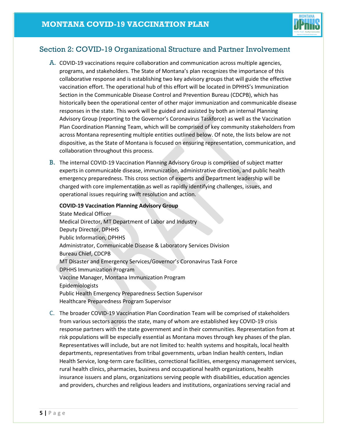

# <span id="page-5-0"></span>Section 2: COVID-19 Organizational Structure and Partner Involvement

- A. COVID-19 vaccinations require collaboration and communication across multiple agencies, programs, and stakeholders. The State of Montana's plan recognizes the importance of this collaborative response and is establishing two key advisory groups that will guide the effective vaccination effort. The operational hub of this effort will be located in DPHHS's Immunization Section in the Communicable Disease Control and Prevention Bureau (CDCPB), which has historically been the operational center of other major immunization and communicable disease responses in the state. This work will be guided and assisted by both an internal Planning Advisory Group (reporting to the Governor's Coronavirus Taskforce) as well as the Vaccination Plan Coordination Planning Team, which will be comprised of key community stakeholders from across Montana representing multiple entities outlined below. Of note, the lists below are not dispositive, as the State of Montana is focused on ensuring representation, communication, and collaboration throughout this process.
- B. The internal COVID-19 Vaccination Planning Advisory Group is comprised of subject matter experts in communicable disease, immunization, administrative direction, and public health emergency preparedness. This cross section of experts and Department leadership will be charged with core implementation as well as rapidly identifying challenges, issues, and operational issues requiring swift resolution and action.

### **COVID-19 Vaccination Planning Advisory Group**

State Medical Officer Medical Director, MT Department of Labor and Industry Deputy Director, DPHHS Public Information, DPHHS Administrator, Communicable Disease & Laboratory Services Division Bureau Chief, CDCPB MT Disaster and Emergency Services/Governor's Coronavirus Task Force DPHHS Immunization Program Vaccine Manager, Montana Immunization Program Epidemiologists Public Health Emergency Preparedness Section Supervisor Healthcare Preparedness Program Supervisor

C. The broader COVID-19 Vaccination Plan Coordination Team will be comprised of stakeholders from various sectors across the state, many of whom are established key COVID-19 crisis response partners with the state government and in their communities. Representation from at risk populations will be especially essential as Montana moves through key phases of the plan. Representatives will include, but are not limited to: health systems and hospitals, local health departments, representatives from tribal governments, urban Indian health centers, Indian Health Service, long-term care facilities, correctional facilities, emergency management services, rural health clinics, pharmacies, business and occupational health organizations, health insurance issuers and plans, organizations serving people with disabilities, education agencies and providers, churches and religious leaders and institutions, organizations serving racial and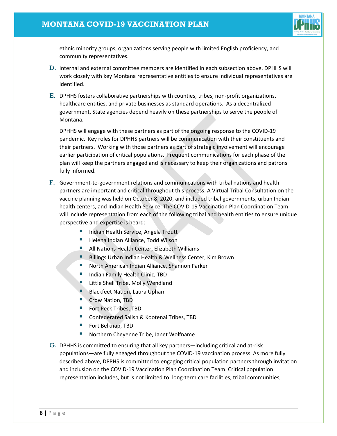# **MONTANA COVID-19 VACCINATION PLAN**



ethnic minority groups, organizations serving people with limited English proficiency, and community representatives.

- D. Internal and external committee members are identified in each subsection above. DPHHS will work closely with key Montana representative entities to ensure individual representatives are identified.
- E. DPHHS fosters collaborative partnerships with counties, tribes, non-profit organizations, healthcare entities, and private businesses as standard operations. As a decentralized government, State agencies depend heavily on these partnerships to serve the people of Montana.

DPHHS will engage with these partners as part of the ongoing response to the COVID-19 pandemic. Key roles for DPHHS partners will be communication with their constituents and their partners. Working with those partners as part of strategic involvement will encourage earlier participation of critical populations. Frequent communications for each phase of the plan will keep the partners engaged and is necessary to keep their organizations and patrons fully informed.

- F. Government-to-government relations and communications with tribal nations and health partners are important and critical throughout this process. A Virtual Tribal Consultation on the vaccine planning was held on October 8, 2020, and included tribal governments, urban Indian health centers, and Indian Health Service. The COVID-19 Vaccination Plan Coordination Team will include representation from each of the following tribal and health entities to ensure unique perspective and expertise is heard:
	- **Indian Health Service, Angela Troutt**
	- **Helena Indian Alliance, Todd Wilson**
	- **All Nations Health Center, Elizabeth Williams**
	- **Billings Urban Indian Health & Wellness Center, Kim Brown**
	- **North American Indian Alliance, Shannon Parker**
	- **Indian Family Health Clinic, TBD**
	- Little Shell Tribe, Molly Wendland
	- Blackfeet Nation, Laura Upham
	- Crow Nation, TBD
	- Fort Peck Tribes, TBD
	- Confederated Salish & Kootenai Tribes, TBD
	- Fort Belknap, TBD
	- Northern Cheyenne Tribe, Janet Wolfname
- G. DPHHS is committed to ensuring that all key partners—including critical and at-risk populations—are fully engaged throughout the COVID-19 vaccination process. As more fully described above, DPPHS is committed to engaging critical population partners through invitation and inclusion on the COVID-19 Vaccination Plan Coordination Team. Critical population representation includes, but is not limited to: long-term care facilities, tribal communities,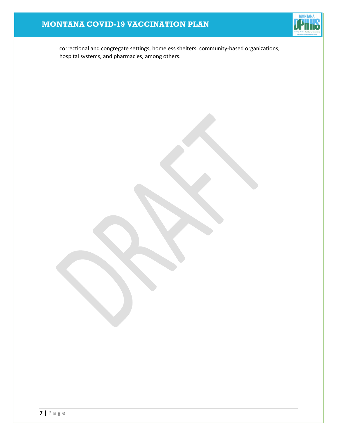# **MONTANA COVID-19 VACCINATION PLAN**



correctional and congregate settings, homeless shelters, community-based organizations, hospital systems, and pharmacies, among others.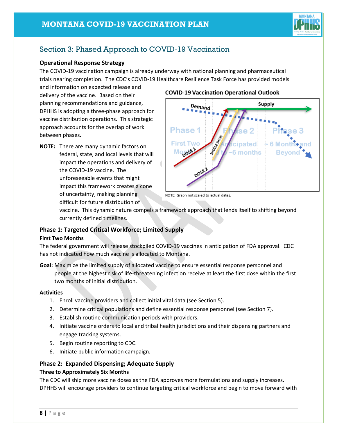

# <span id="page-8-0"></span>Section 3: Phased Approach to COVID-19 Vaccination

## **Operational Response Strategy**

The COVID-19 vaccination campaign is already underway with national planning and pharmaceutical trials nearing completion. The CDC's COVID-19 Healthcare Resilience Task Force has provided models

and information on expected release and delivery of the vaccine. Based on their planning recommendations and guidance, DPHHS is adopting a three-phase approach for vaccine distribution operations. This strategic approach accounts for the overlap of work between phases.

**NOTE:** There are many dynamic factors on federal, state, and local levels that will impact the operations and delivery of the COVID-19 vaccine. The unforeseeable events that might impact this framework creates a cone of uncertainty, making planning difficult for future distribution of

## **COVID-19 Vaccination Operational Outlook**



NOTE: Graph not scaled to actual dates.

vaccine. This dynamic nature compels a framework approach that lends itself to shifting beyond currently defined timelines.

# **Phase 1: Targeted Critical Workforce; Limited Supply**

#### **First Two Months**

The federal government will release stockpiled COVID-19 vaccines in anticipation of FDA approval. CDC has not indicated how much vaccine is allocated to Montana.

**Goal:** Maximize the limited supply of allocated vaccine to ensure essential response personnel and people at the highest risk of life-threatening infection receive at least the first dose within the first two months of initial distribution.

#### **Activities**

- 1. Enroll vaccine providers and collect initial vital data (see Section 5).
- 2. Determine critical populations and define essential response personnel (see Section 7).
- 3. Establish routine communication periods with providers.
- 4. Initiate vaccine orders to local and tribal health jurisdictions and their dispensing partners and engage tracking systems.
- 5. Begin routine reporting to CDC.
- 6. Initiate public information campaign.

## **Phase 2: Expanded Dispensing; Adequate Supply**

#### **Three to Approximately Six Months**

The CDC will ship more vaccine doses as the FDA approves more formulations and supply increases. DPHHS will encourage providers to continue targeting critical workforce and begin to move forward with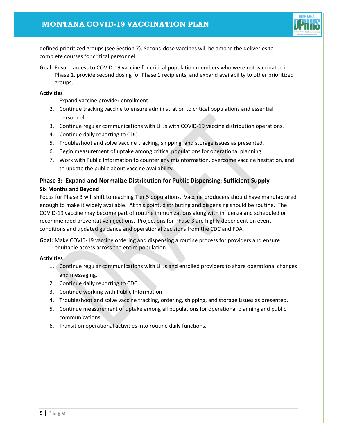

defined prioritized groups (see Section 7). Second dose vaccines will be among the deliveries to complete courses for critical personnel.

**Goal:** Ensure access to COVID-19 vaccine for critical population members who were not vaccinated in Phase 1, provide second dosing for Phase 1 recipients, and expand availability to other prioritized groups.

#### **Activities**

- 1. Expand vaccine provider enrollment.
- 2. Continue tracking vaccine to ensure administration to critical populations and essential personnel.
- 3. Continue regular communications with LHJs with COVID-19 vaccine distribution operations.
- 4. Continue daily reporting to CDC.
- 5. Troubleshoot and solve vaccine tracking, shipping, and storage issues as presented.
- 6. Begin measurement of uptake among critical populations for operational planning.
- 7. Work with Public Information to counter any misinformation, overcome vaccine hesitation, and to update the public about vaccine availability.

## **Phase 3: Expand and Normalize Distribution for Public Dispensing; Sufficient Supply Six Months and Beyond**

Focus for Phase 3 will shift to reaching Tier 5 populations. Vaccine producers should have manufactured enough to make it widely available. At this point, distributing and dispensing should be routine. The COVID-19 vaccine may become part of routine immunizations along with influenza and scheduled or recommended preventative injections. Projections for Phase 3 are highly dependent on event conditions and updated guidance and operational decisions from the CDC and FDA.

**Goal:** Make COVID-19 vaccine ordering and dispensing a routine process for providers and ensure equitable access across the entire population.

## **Activities**

- 1. Continue regular communications with LHJs and enrolled providers to share operational changes and messaging.
- 2. Continue daily reporting to CDC.
- 3. Continue working with Public Information
- 4. Troubleshoot and solve vaccine tracking, ordering, shipping, and storage issues as presented.
- 5. Continue measurement of uptake among all populations for operational planning and public communications
- 6. Transition operational activities into routine daily functions.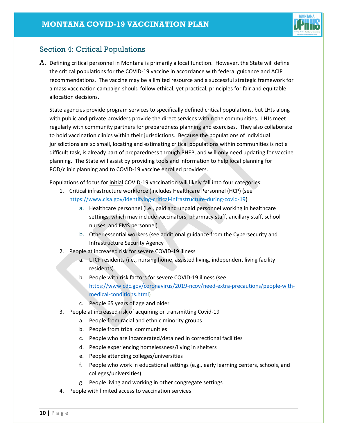

# <span id="page-10-0"></span>Section 4: Critical Populations

A. Defining critical personnel in Montana is primarily a local function. However, the State will define the critical populations for the COVID-19 vaccine in accordance with federal guidance and ACIP recommendations. The vaccine may be a limited resource and a successful strategic framework for a mass vaccination campaign should follow ethical, yet practical, principles for fair and equitable allocation decisions.

State agencies provide program services to specifically defined critical populations, but LHJs along with public and private providers provide the direct services within the communities. LHJs meet regularly with community partners for preparedness planning and exercises. They also collaborate to hold vaccination clinics within their jurisdictions. Because the populations of individual jurisdictions are so small, locating and estimating critical populations within communities is not a difficult task, is already part of preparedness through PHEP, and will only need updating for vaccine planning. The State will assist by providing tools and information to help local planning for POD/clinic planning and to COVID-19 vaccine enrolled providers.

Populations of focus for initial COVID-19 vaccination will likely fall into four categories:

- 1. Critical infrastructure workforce (includes Healthcare Personnel (HCP) (se[e](https://www.cisa.gov/identifying-critical-infrastructure-during-covid-19) [https://www.cisa.gov/identifying-critical-infrastructure-during-covid-19\)](https://www.cisa.gov/identifying-critical-infrastructure-during-covid-19)
	- a. Healthcare personnel (i.e., paid and unpaid personnel working in healthcare settings, which may include vaccinators, pharmacy staff, ancillary staff, school nurses, and EMS personnel)
	- b. Other essential workers (see additional guidance from the Cybersecurity and Infrastructure Security Agency
- 2. People at increased risk for severe COVID-19 illness
	- a. LTCF residents (i.e., nursing home, assisted living, independent living facility residents)
	- b. People with risk factors for severe COVID-19 illness (see [https://www.cdc.gov/coronavirus/2019-ncov/need-extra-precautions/people-with](https://www.cdc.gov/coronavirus/2019-ncov/need-extra-precautions/people-with-medical-conditions.html)[medical-conditions.html\)](https://www.cdc.gov/coronavirus/2019-ncov/need-extra-precautions/people-with-medical-conditions.html)
	- c. People 65 years of age and older
- 3. People at increased risk of acquiring or transmitting Covid-19
	- a. People from racial and ethnic minority groups
	- b. People from tribal communities
	- c. People who are incarcerated/detained in correctional facilities
	- d. People experiencing homelessness/living in shelters
	- e. People attending colleges/universities
	- f. People who work in educational settings (e.g., early learning centers, schools, and colleges/universities)
	- g. People living and working in other congregate settings
- 4. People with limited access to vaccination services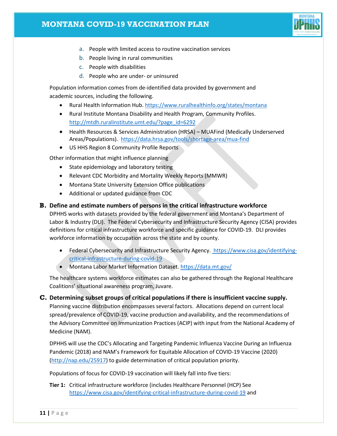# **MONTANA COVID-19 VACCINATION PLAN**



- a. People with limited access to routine vaccination services
- b. People living in rural communities
- c. People with disabilities
- d. People who are under- or uninsured

Population information comes from de-identified data provided by government and academic sources, including the following.

- Rural Health Information Hub. <https://www.ruralhealthinfo.org/states/montana>
- Rural Institute Montana Disability and Health Program, Community Profiles. [http://mtdh.ruralinstitute.umt.edu/?page\\_id=6292](http://mtdh.ruralinstitute.umt.edu/?page_id=6292)
- Health Resources & Services Administration (HRSA) MUAFind (Medically Underserved Areas/Populations).<https://data.hrsa.gov/tools/shortage-area/mua-find>
- US HHS Region 8 Community Profile Reports

Other information that might influence planning

- State epidemiology and laboratory testing
- Relevant CDC Morbidity and Mortality Weekly Reports (MMWR)
- Montana State University Extension Office publications
- Additional or updated guidance from CDC

### **B. Define and estimate numbers of persons in the critical infrastructure workforce**

DPHHS works with datasets provided by the federal government and Montana's Department of Labor & Industry (DLI). The Federal Cybersecurity and Infrastructure Security Agency (CISA) provides definitions for critical infrastructure workforce and specific guidance for COVID-19. DLI provides workforce information by occupation across the state and by county.

- Federal Cybersecurity and Infrastructure Security Agency. [https://www.cisa.gov/identifying](https://www.cisa.gov/identifying-critical-infrastructure-during-covid-19)[critical-infrastructure-during-covid-19](https://www.cisa.gov/identifying-critical-infrastructure-during-covid-19)
- Montana Labor Market Information Dataset. <https://data.mt.gov/>

The healthcare systems workforce estimates can also be gathered through the Regional Healthcare Coalitions' situational awareness program, Juvare.

**C. Determining subset groups of critical populations if there is insufficient vaccine supply.**  Planning vaccine distribution encompasses several factors. Allocations depend on current local spread/prevalence of COVID-19, vaccine production and availability, and the recommendations of the Advisory Committee on Immunization Practices (ACIP) with input from the National Academy of Medicine (NAM).

DPHHS will use the CDC's Allocating and Targeting Pandemic Influenza Vaccine During an Influenza Pandemic (2018) and NAM's Framework for Equitable Allocation of COVID-19 Vaccine (2020) [\(http://nap.edu/25917\)](http://nap.edu/25917) to guide determination of critical population priority.

Populations of focus for COVID-19 vaccination will likely fall into five tiers:

**Tier 1:** Critical infrastructure workforce (includes Healthcare Personnel (HCP) Se[e](https://www.cisa.gov/identifying-critical-infrastructure-during-covid-19) <https://www.cisa.gov/identifying-critical-infrastructure-during-covid-19> and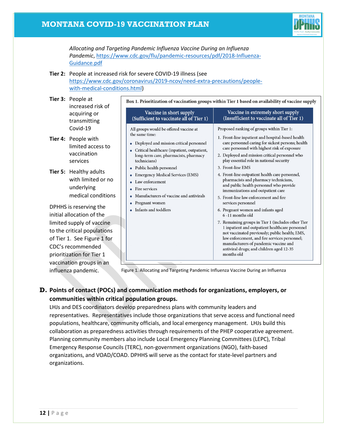

*Allocating and Targeting Pandemic Influenza Vaccine During an Influenza Pandemic*, [https://www.cdc.gov/flu/pandemic-resources/pdf/2018-Influenza-](https://www.cdc.gov/flu/pandemic-resources/pdf/2018-Influenza-Guidance.pdf)[Guidance.pdf](https://www.cdc.gov/flu/pandemic-resources/pdf/2018-Influenza-Guidance.pdf)

#### **Tier 2:** People at increased risk for severe COVID-19 illness (see [https://www.cdc.gov/coronavirus/2019-ncov/need-extra-precautions/people-](https://www.cdc.gov/coronavirus/2019-ncov/need-extra-precautions/people-with-medical-conditions.html)

[with-medical-conditions.html\)](https://www.cdc.gov/coronavirus/2019-ncov/need-extra-precautions/people-with-medical-conditions.html)

| Tier 3: People at<br>increased risk of                                                                                                                                                           |                                          |                                        | Box 1. Prioritization of vaccination groups within Tier 1 based on availability of vaccine supply |                                                                             |                                                                                                                                                                          |  |
|--------------------------------------------------------------------------------------------------------------------------------------------------------------------------------------------------|------------------------------------------|----------------------------------------|---------------------------------------------------------------------------------------------------|-----------------------------------------------------------------------------|--------------------------------------------------------------------------------------------------------------------------------------------------------------------------|--|
| acquiring or<br>transmitting                                                                                                                                                                     |                                          |                                        | Vaccine in short supply<br>(Sufficient to vaccinate all of Tier 1)                                |                                                                             | Vaccine in extremely short supply<br>(Insufficient to vaccinate all of Tier 1)                                                                                           |  |
|                                                                                                                                                                                                  | Covid-19                                 |                                        | All groups would be offered vaccine at<br>the same time:                                          |                                                                             | Proposed ranking of groups within Tier 1:                                                                                                                                |  |
|                                                                                                                                                                                                  | Tier 4: People with<br>limited access to |                                        | • Deployed and mission critical personnel<br>Critical healthcare (inpatient, outpatient,          |                                                                             | 1. Front-line inpatient and hospital-based health<br>care personnel caring for sickest persons; health<br>care personnel with highest risk of exposure                   |  |
|                                                                                                                                                                                                  | vaccination<br>services                  |                                        | long-term care, pharmacists, pharmacy<br>technicians)                                             |                                                                             | 2. Deployed and mission critical personnel who<br>play essential role in national security                                                                               |  |
| Tier 5: Healthy adults<br>with limited or no<br>underlying                                                                                                                                       |                                          | Public health personnel                |                                                                                                   | 3. Front-line EMS                                                           |                                                                                                                                                                          |  |
|                                                                                                                                                                                                  |                                          |                                        | <b>Emergency Medical Services (EMS)</b><br>Law enforcement<br>Fire services                       |                                                                             | 4. Front-line outpatient health care personnel,<br>pharmacists and pharmacy technicians,<br>and public health personnel who provide<br>immunizations and outpatient care |  |
|                                                                                                                                                                                                  | medical conditions                       |                                        | Manufacturers of vaccine and antivirals                                                           |                                                                             | 5. Front-line law enforcement and fire                                                                                                                                   |  |
| DPHHS is reserving the<br>initial allocation of the<br>limited supply of vaccine<br>to the critical populations<br>of Tier 1. See Figure 1 for<br>CDC's recommended<br>prioritization for Tier 1 |                                          | Pregnant women<br>Infants and toddlers |                                                                                                   | services personnel<br>6. Pregnant women and infants aged<br>6-11 months old |                                                                                                                                                                          |  |
|                                                                                                                                                                                                  |                                          |                                        |                                                                                                   |                                                                             | 7. Remaining groups in Tier 1 (includes other Tier                                                                                                                       |  |
|                                                                                                                                                                                                  |                                          |                                        |                                                                                                   |                                                                             | 1 inpatient and outpatient healthcare personnel<br>not vaccinated previously; public health; EMS,                                                                        |  |
|                                                                                                                                                                                                  |                                          |                                        |                                                                                                   |                                                                             | law enforcement, and fire services personnel;                                                                                                                            |  |
|                                                                                                                                                                                                  |                                          |                                        |                                                                                                   |                                                                             | manufacturers of pandemic vaccine and<br>antiviral drugs; and children aged 12-35                                                                                        |  |
|                                                                                                                                                                                                  |                                          |                                        |                                                                                                   |                                                                             | months old                                                                                                                                                               |  |
|                                                                                                                                                                                                  | vaccination groups in an                 |                                        | $\overline{\phantom{a}}$                                                                          |                                                                             |                                                                                                                                                                          |  |

Figure 1. Allocating and Targeting Pandemic Influenza Vaccine During an Influenza

# **D. Points of contact (POCs) and communication methods for organizations, employers, or communities within critical population groups.**

LHJs and DES coordinators develop preparedness plans with community leaders and representatives. Representatives include those organizations that serve access and functional need populations, healthcare, community officials, and local emergency management. LHJs build this collaboration as preparedness activities through requirements of the PHEP cooperative agreement. Planning community members also include Local Emergency Planning Committees (LEPC), Tribal Emergency Response Councils (TERC), non-government organizations (NGO), faith-based organizations, and VOAD/COAD. DPHHS will serve as the contact for state-level partners and organizations.

influenza pandemic.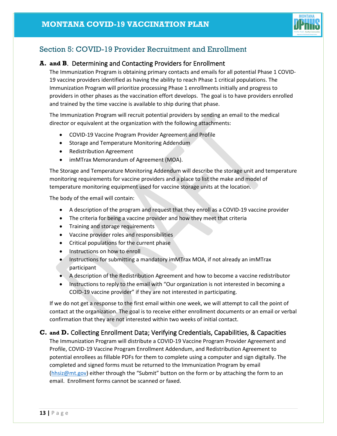

# <span id="page-13-0"></span>Section 5: COVID-19 Provider Recruitment and Enrollment

## **A. and B**. Determining and Contacting Providers for Enrollment

The Immunization Program is obtaining primary contacts and emails for all potential Phase 1 COVID-19 vaccine providers identified as having the ability to reach Phase 1 critical populations. The Immunization Program will prioritize processing Phase 1 enrollments initially and progress to providers in other phases as the vaccination effort develops. The goal is to have providers enrolled and trained by the time vaccine is available to ship during that phase.

The Immunization Program will recruit potential providers by sending an email to the medical director or equivalent at the organization with the following attachments:

- COVID-19 Vaccine Program Provider Agreement and Profile
- Storage and Temperature Monitoring Addendum
- Redistribution Agreement
- imMTrax Memorandum of Agreement (MOA).

The Storage and Temperature Monitoring Addendum will describe the storage unit and temperature monitoring requirements for vaccine providers and a place to list the make and model of temperature monitoring equipment used for vaccine storage units at the location.

The body of the email will contain:

- A description of the program and request that they enroll as a COVID-19 vaccine provider
- The criteria for being a vaccine provider and how they meet that criteria
- Training and storage requirements
- Vaccine provider roles and responsibilities
- Critical populations for the current phase
- Instructions on how to enroll
- Instructions for submitting a mandatory imMTrax MOA, if not already an imMTrax participant
- A description of the Redistribution Agreement and how to become a vaccine redistributor
- Instructions to reply to the email with "Our organization is not interested in becoming a COID-19 vaccine provider" if they are not interested in participating.

If we do not get a response to the first email within one week, we will attempt to call the point of contact at the organization. The goal is to receive either enrollment documents or an email or verbal confirmation that they are not interested within two weeks of initial contact.

# **C. and D.** Collecting Enrollment Data; Verifying Credentials, Capabilities, & Capacities

The Immunization Program will distribute a COVID-19 Vaccine Program Provider Agreement and Profile, COVID-19 Vaccine Program Enrollment Addendum, and Redistribution Agreement to potential enrollees as fillable PDFs for them to complete using a computer and sign digitally. The completed and signed forms must be returned to the Immunization Program by email [\(hhsiz@mt.gov\)](mailto:hhsiz@mt.gov) either through the "Submit" button on the form or by attaching the form to an email. Enrollment forms cannot be scanned or faxed.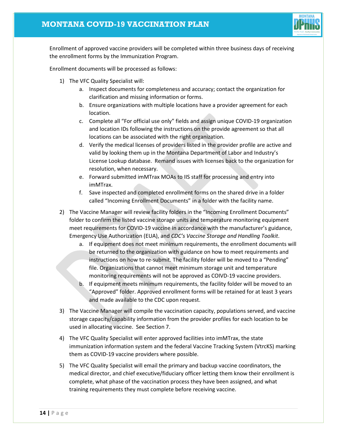

Enrollment of approved vaccine providers will be completed within three business days of receiving the enrollment forms by the Immunization Program.

Enrollment documents will be processed as follows:

- 1) The VFC Quality Specialist will:
	- a. Inspect documents for completeness and accuracy; contact the organization for clarification and missing information or forms.
	- b. Ensure organizations with multiple locations have a provider agreement for each location.
	- c. Complete all "For official use only" fields and assign unique COVID-19 organization and location IDs following the instructions on the provide agreement so that all locations can be associated with the right organization.
	- d. Verify the medical licenses of providers listed in the provider profile are active and valid by looking them up in the Montana Department of Labor and Industry's License Lookup database. Remand issues with licenses back to the organization for resolution, when necessary.
	- e. Forward submitted imMTrax MOAs to IIS staff for processing and entry into imMTrax.
	- f. Save inspected and completed enrollment forms on the shared drive in a folder called "Incoming Enrollment Documents" in a folder with the facility name.
- 2) The Vaccine Manager will review facility folders in the "Incoming Enrollment Documents" folder to confirm the listed vaccine storage units and temperature monitoring equipment meet requirements for COVID-19 vaccine in accordance with the manufacturer's guidance, Emergency Use Authorization (EUA), and *CDC's Vaccine Storage and Handling Toolkit*.
	- a. If equipment does not meet minimum requirements, the enrollment documents will be returned to the organization with guidance on how to meet requirements and instructions on how to re-submit. The facility folder will be moved to a "Pending" file. Organizations that cannot meet minimum storage unit and temperature monitoring requirements will not be approved as COIVD-19 vaccine providers.
	- b. If equipment meets minimum requirements, the facility folder will be moved to an "Approved" folder. Approved enrollment forms will be retained for at least 3 years and made available to the CDC upon request.
- 3) The Vaccine Manager will compile the vaccination capacity, populations served, and vaccine storage capacity/capability information from the provider profiles for each location to be used in allocating vaccine. See Section 7.
- 4) The VFC Quality Specialist will enter approved facilities into imMTrax, the state immunization information system and the federal Vaccine Tracking System (VtrcKS) marking them as COVID-19 vaccine providers where possible.
- 5) The VFC Quality Specialist will email the primary and backup vaccine coordinators, the medical director, and chief executive/fiduciary officer letting them know their enrollment is complete, what phase of the vaccination process they have been assigned, and what training requirements they must complete before receiving vaccine.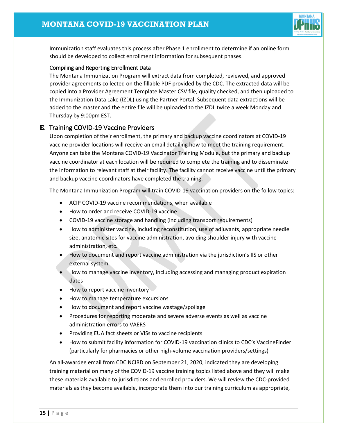

Immunization staff evaluates this process after Phase 1 enrollment to determine if an online form should be developed to collect enrollment information for subsequent phases.

## Compiling and Reporting Enrollment Data

The Montana Immunization Program will extract data from completed, reviewed, and approved provider agreements collected on the fillable PDF provided by the CDC. The extracted data will be copied into a Provider Agreement Template Master CSV file, quality checked, and then uploaded to the Immunization Data Lake (IZDL) using the Partner Portal. Subsequent data extractions will be added to the master and the entire file will be uploaded to the IZDL twice a week Monday and Thursday by 9:00pm EST.

## **E**. Training COVID-19 Vaccine Providers

Upon completion of their enrollment, the primary and backup vaccine coordinators at COVID-19 vaccine provider locations will receive an email detailing how to meet the training requirement. Anyone can take the Montana COVID-19 Vaccinator Training Module, but the primary and backup vaccine coordinator at each location will be required to complete the training and to disseminate the information to relevant staff at their facility. The facility cannot receive vaccine until the primary and backup vaccine coordinators have completed the training.

The Montana Immunization Program will train COVID-19 vaccination providers on the follow topics:

- ACIP COVID-19 vaccine recommendations, when available
- How to order and receive COVID-19 vaccine
- COVID-19 vaccine storage and handling (including transport requirements)
- How to administer vaccine, including reconstitution, use of adjuvants, appropriate needle size, anatomic sites for vaccine administration, avoiding shoulder injury with vaccine administration, etc.
- How to document and report vaccine administration via the jurisdiction's IIS or other external system
- How to manage vaccine inventory, including accessing and managing product expiration dates
- How to report vaccine inventory
- How to manage temperature excursions
- How to document and report vaccine wastage/spoilage
- Procedures for reporting moderate and severe adverse events as well as vaccine administration errors to VAERS
- Providing EUA fact sheets or VISs to vaccine recipients
- How to submit facility information for COVID-19 vaccination clinics to CDC's VaccineFinder (particularly for pharmacies or other high-volume vaccination providers/settings)

An all-awardee email from CDC NCIRD on September 21, 2020, indicated they are developing training material on many of the COVID-19 vaccine training topics listed above and they will make these materials available to jurisdictions and enrolled providers. We will review the CDC-provided materials as they become available, incorporate them into our training curriculum as appropriate,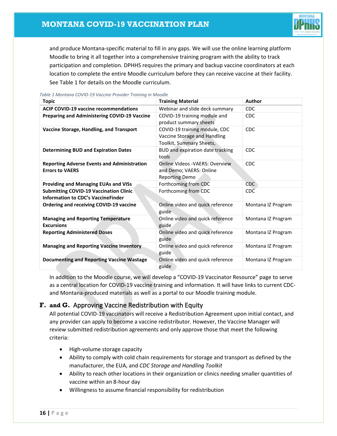

and produce Montana-specific material to fill in any gaps. We will use the online learning platform Moodle to bring it all together into a comprehensive training program with the ability to track participation and completion. DPHHS requires the primary and backup vaccine coordinators at each location to complete the entire Moodle curriculum before they can receive vaccine at their facility. Se[e Table 1](#page-16-0) for details on the Moodle curriculum.

| <b>Topic</b>                                                                               | <b>Training Material</b>                                                                   | Author             |
|--------------------------------------------------------------------------------------------|--------------------------------------------------------------------------------------------|--------------------|
| <b>ACIP COVID-19 vaccine recommendations</b>                                               | Webinar and slide deck summary                                                             | CDC                |
| <b>Preparing and Administering COVID-19 Vaccine</b>                                        | COVID-19 training module and<br>product summary sheets                                     | CDC                |
| Vaccine Storage, Handling, and Transport                                                   | COVID-19 training module, CDC<br>Vaccine Storage and Handling<br>Toolkit, Summary Sheets,  | CDC                |
| <b>Determining BUD and Expiration Dates</b>                                                | BUD and expiration date tracking<br>tools                                                  | CDC                |
| <b>Reporting Adverse Events and Administration</b><br><b>Errors to VAERS</b>               | <b>Online Videos - VAERS: Overview</b><br>and Demo; VAERS: Online<br><b>Reporting Demo</b> | <b>CDC</b>         |
| <b>Providing and Managing EUAs and VISs</b>                                                | Forthcoming from CDC                                                                       | <b>CDC</b>         |
| <b>Submitting COVID-19 Vaccination Clinic</b><br><b>Information to CDC's VaccineFinder</b> | Forthcoming from CDC                                                                       | <b>CDC</b>         |
| <b>Ordering and receiving COVID-19 vaccine</b>                                             | Online video and quick reference<br>guide                                                  | Montana IZ Program |
| <b>Managing and Reporting Temperature</b><br><b>Excursions</b>                             | Online video and quick reference<br>guide                                                  | Montana IZ Program |
| <b>Reporting Administered Doses</b>                                                        | Online video and quick reference<br>guide                                                  | Montana IZ Program |
| <b>Managing and Reporting Vaccine Inventory</b>                                            | Online video and quick reference<br>guide                                                  | Montana IZ Program |
| <b>Documenting and Reporting Vaccine Wastage</b>                                           | Online video and quick reference<br>guide                                                  | Montana IZ Program |

<span id="page-16-0"></span>*Table 1 Montana COVID-19 Vaccine Provider Training in Moodle*

In addition to the Moodle course, we will develop a "COVID-19 Vaccinator Resource" page to serve as a central location for COVID-19 vaccine training and information. It will have links to current CDCand Montana-produced materials as well as a portal to our Moodle training module.

# **F. and G.** Approving Vaccine Redistribution with Equity

All potential COVID-19 vaccinators will receive a Redistribution Agreement upon initial contact, and any provider can apply to become a vaccine redistributor. However, the Vaccine Manager will review submitted redistribution agreements and only approve those that meet the following criteria:

- High-volume storage capacity
- Ability to comply with cold chain requirements for storage and transport as defined by the manufacturer, the EUA, and *CDC Storage and Handling Toolkit*
- Ability to reach other locations in their organization or clinics needing smaller quantities of vaccine within an 8-hour day
- Willingness to assume financial responsibility for redistribution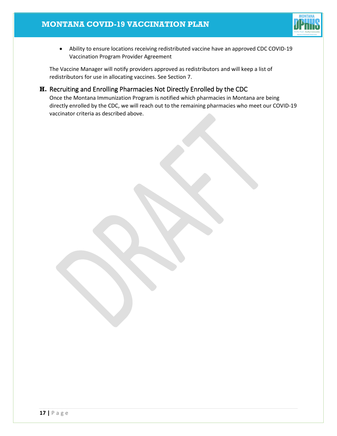

• Ability to ensure locations receiving redistributed vaccine have an approved CDC COVID-19 Vaccination Program Provider Agreement

The Vaccine Manager will notify providers approved as redistributors and will keep a list of redistributors for use in allocating vaccines. See Section 7.

# **H.** Recruiting and Enrolling Pharmacies Not Directly Enrolled by the CDC

Once the Montana Immunization Program is notified which pharmacies in Montana are being directly enrolled by the CDC, we will reach out to the remaining pharmacies who meet our COVID-19 vaccinator criteria as described above.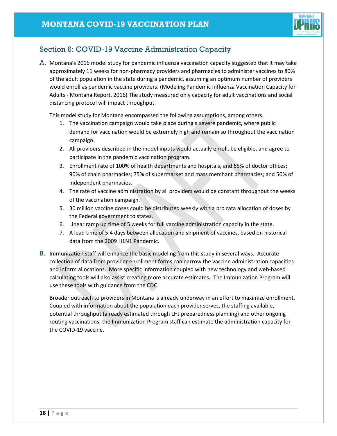

# <span id="page-18-0"></span>Section 6: COVID-19 Vaccine Administration Capacity

A. Montana's 2016 model study for pandemic influenza vaccination capacity suggested that it may take approximately 11 weeks for non-pharmacy providers and pharmacies to administer vaccines to 80% of the adult population in the state during a pandemic, assuming an optimum number of providers would enroll as pandemic vaccine providers. (Modeling Pandemic Influenza Vaccination Capacity for Adults - Montana Report, 2016) The study measured only capacity for adult vaccinations and social distancing protocol will impact throughput.

This model study for Montana encompassed the following assumptions, among others.

- 1. The vaccination campaign would take place during a severe pandemic, where public demand for vaccination would be extremely high and remain so throughout the vaccination campaign.
- 2. All providers described in the model inputs would actually enroll, be eligible, and agree to participate in the pandemic vaccination program.
- 3. Enrollment rate of 100% of health departments and hospitals, and 65% of doctor offices; 90% of chain pharmacies; 75% of supermarket and mass merchant pharmacies; and 50% of independent pharmacies.
- 4. The rate of vaccine administration by all providers would be constant throughout the weeks of the vaccination campaign.
- 5. 30 million vaccine doses could be distributed weekly with a pro rata allocation of doses by the Federal government to states.
- 6. Linear ramp up time of 5 weeks for full vaccine administration capacity in the state.
- 7. A lead time of 5.4 days between allocation and shipment of vaccines, based on historical data from the 2009 H1N1 Pandemic.
- B. Immunization staff will enhance the basic modeling from this study in several ways. Accurate collection of data from provider enrollment forms can narrow the vaccine administration capacities and inform allocations. More specific information coupled with new technology and web-based calculating tools will also assist creating more accurate estimates. The Immunization Program will use these tools with guidance from the CDC.

Broader outreach to providers in Montana is already underway in an effort to maximize enrollment. Coupled with information about the population each provider serves, the staffing available, potential throughput (already estimated through LHJ preparedness planning) and other ongoing routing vaccinations, the Immunization Program staff can estimate the administration capacity for the COVID-19 vaccine.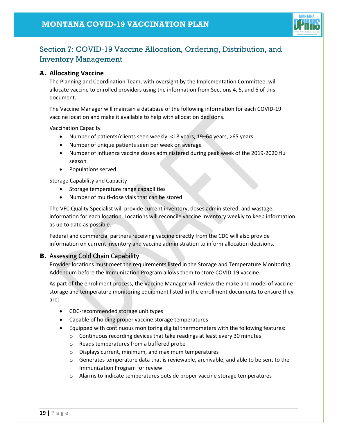

# <span id="page-19-0"></span>Section 7: COVID-19 Vaccine Allocation, Ordering, Distribution, and Inventory Management

## **A. Allocating Vaccine**

The Planning and Coordination Team, with oversight by the Implementation Committee, will allocate vaccine to enrolled providers using the information from Sections 4, 5, and 6 of this document.

The Vaccine Manager will maintain a database of the following information for each COVID-19 vaccine location and make it available to help with allocation decisions.

Vaccination Capacity

- Number of patients/clients seen weekly: <18 years, 19–64 years, >65 years
- Number of unique patients seen per week on average
- Number of influenza vaccine doses administered during peak week of the 2019-2020 flu season
- Populations served

Storage Capability and Capacity

- Storage temperature range capabilities
- Number of multi-dose vials that can be stored

The VFC Quality Specialist will provide current inventory, doses administered, and wastage information for each location. Locations will reconcile vaccine inventory weekly to keep information as up to date as possible.

Federal and commercial partners receiving vaccine directly from the CDC will also provide information on current inventory and vaccine administration to inform allocation decisions.

## **B.** Assessing Cold Chain Capability

Provider locations must meet the requirements listed in the Storage and Temperature Monitoring Addendum before the Immunization Program allows them to store COVID-19 vaccine.

As part of the enrollment process, the Vaccine Manager will review the make and model of vaccine storage and temperature monitoring equipment listed in the enrollment documents to ensure they are:

- CDC-recommended storage unit types
- Capable of holding proper vaccine storage temperatures
- Equipped with continuous monitoring digital thermometers with the following features:
	- o Continuous recording devices that take readings at least every 30 minutes
	- o Reads temperatures from a buffered probe
	- o Displays current, minimum, and maximum temperatures
	- $\circ$  Generates temperature data that is reviewable, archivable, and able to be sent to the Immunization Program for review
	- o Alarms to indicate temperatures outside proper vaccine storage temperatures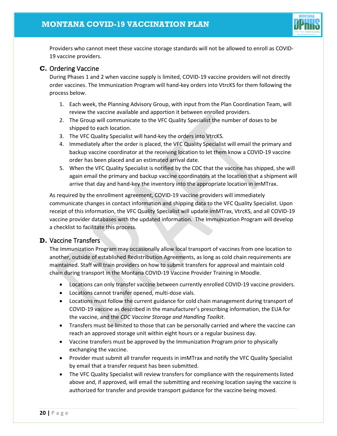

Providers who cannot meet these vaccine storage standards will not be allowed to enroll as COVID-19 vaccine providers.

## **C.** Ordering Vaccine

During Phases 1 and 2 when vaccine supply is limited, COVID-19 vaccine providers will not directly order vaccines. The Immunization Program will hand-key orders into VtrcKS for them following the process below.

- 1. Each week, the Planning Advisory Group, with input from the Plan Coordination Team, will review the vaccine available and apportion it between enrolled providers.
- 2. The Group will communicate to the VFC Quality Specialist the number of doses to be shipped to each location.
- 3. The VFC Quality Specialist will hand-key the orders into VtrcKS.
- 4. Immediately after the order is placed, the VFC Quality Specialist will email the primary and backup vaccine coordinator at the receiving location to let them know a COVID-19 vaccine order has been placed and an estimated arrival date.
- 5. When the VFC Quality Specialist is notified by the CDC that the vaccine has shipped, she will again email the primary and backup vaccine coordinators at the location that a shipment will arrive that day and hand-key the inventory into the appropriate location in imMTrax.

As required by the enrollment agreement, COVID-19 vaccine providers will immediately communicate changes in contact information and shipping data to the VFC Quality Specialist. Upon receipt of this information, the VFC Quality Specialist will update imMTrax, VtrcKS, and all COVID-19 vaccine provider databases with the updated information. The Immunization Program will develop a checklist to facilitate this process.

# **D.** Vaccine Transfers

The Immunization Program may occasionally allow local transport of vaccines from one location to another, outside of established Redistribution Agreements, as long as cold chain requirements are maintained. Staff will train providers on how to submit transfers for approval and maintain cold chain during transport in the Montana COVID-19 Vaccine Provider Training in Moodle.

- Locations can only transfer vaccine between currently enrolled COVID-19 vaccine providers.
- Locations cannot transfer opened, multi-dose vials.
- Locations must follow the current guidance for cold chain management during transport of COVID-19 vaccine as described in the manufacturer's prescribing information, the EUA for the vaccine, and the *CDC Vaccine Storage and Handling Toolkit*.
- Transfers must be limited to those that can be personally carried and where the vaccine can reach an approved storage unit within eight hours or a regular business day.
- Vaccine transfers must be approved by the Immunization Program prior to physically exchanging the vaccine.
- Provider must submit all transfer requests in imMTrax and notify the VFC Quality Specialist by email that a transfer request has been submitted.
- The VFC Quality Specialist will review transfers for compliance with the requirements listed above and, if approved, will email the submitting and receiving location saying the vaccine is authorized for transfer and provide transport guidance for the vaccine being moved.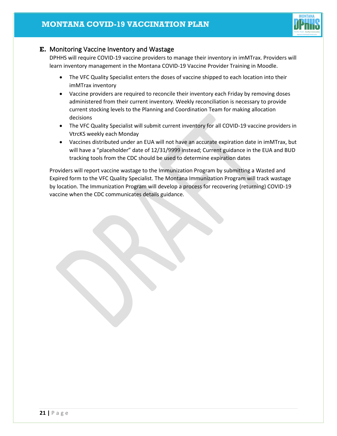

# **E.** Monitoring Vaccine Inventory and Wastage

DPHHS will require COVID-19 vaccine providers to manage their inventory in imMTrax. Providers will learn inventory management in the Montana COVID-19 Vaccine Provider Training in Moodle.

- The VFC Quality Specialist enters the doses of vaccine shipped to each location into their imMTrax inventory
- Vaccine providers are required to reconcile their inventory each Friday by removing doses administered from their current inventory. Weekly reconciliation is necessary to provide current stocking levels to the Planning and Coordination Team for making allocation decisions
- The VFC Quality Specialist will submit current inventory for all COVID-19 vaccine providers in VtrcKS weekly each Monday
- Vaccines distributed under an EUA will not have an accurate expiration date in imMTrax, but will have a "placeholder" date of 12/31/9999 instead; Current guidance in the EUA and BUD tracking tools from the CDC should be used to determine expiration dates

Providers will report vaccine wastage to the Immunization Program by submitting a Wasted and Expired form to the VFC Quality Specialist. The Montana Immunization Program will track wastage by location. The Immunization Program will develop a process for recovering (returning) COVID-19 vaccine when the CDC communicates details guidance.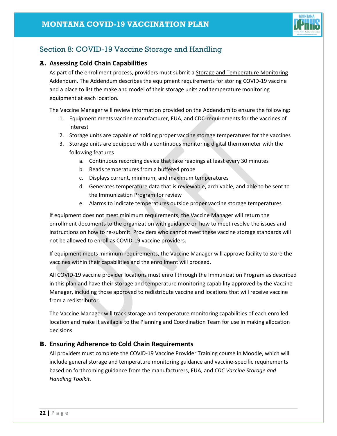

# <span id="page-22-0"></span>Section 8: COVID-19 Vaccine Storage and Handling

## **A. Assessing Cold Chain Capabilities**

As part of the enrollment process, providers must submit a Storage and Temperature Monitoring Addendum. The Addendum describes the equipment requirements for storing COVID-19 vaccine and a place to list the make and model of their storage units and temperature monitoring equipment at each location.

The Vaccine Manager will review information provided on the Addendum to ensure the following:

- 1. Equipment meets vaccine manufacturer, EUA, and CDC-requirements for the vaccines of interest
- 2. Storage units are capable of holding proper vaccine storage temperatures for the vaccines
- 3. Storage units are equipped with a continuous monitoring digital thermometer with the following features
	- a. Continuous recording device that take readings at least every 30 minutes
	- b. Reads temperatures from a buffered probe
	- c. Displays current, minimum, and maximum temperatures
	- d. Generates temperature data that is reviewable, archivable, and able to be sent to the Immunization Program for review
	- e. Alarms to indicate temperatures outside proper vaccine storage temperatures

If equipment does not meet minimum requirements, the Vaccine Manager will return the enrollment documents to the organization with guidance on how to meet resolve the issues and instructions on how to re-submit. Providers who cannot meet these vaccine storage standards will not be allowed to enroll as COVID-19 vaccine providers.

If equipment meets minimum requirements, the Vaccine Manager will approve facility to store the vaccines within their capabilities and the enrollment will proceed.

All COVID-19 vaccine provider locations must enroll through the Immunization Program as described in this plan and have their storage and temperature monitoring capability approved by the Vaccine Manager, including those approved to redistribute vaccine and locations that will receive vaccine from a redistributor.

The Vaccine Manager will track storage and temperature monitoring capabilities of each enrolled location and make it available to the Planning and Coordination Team for use in making allocation decisions.

## **B. Ensuring Adherence to Cold Chain Requirements**

All providers must complete the COVID-19 Vaccine Provider Training course in Moodle, which will include general storage and temperature monitoring guidance and vaccine-specific requirements based on forthcoming guidance from the manufacturers, EUA, and *CDC Vaccine Storage and Handling Toolkit.*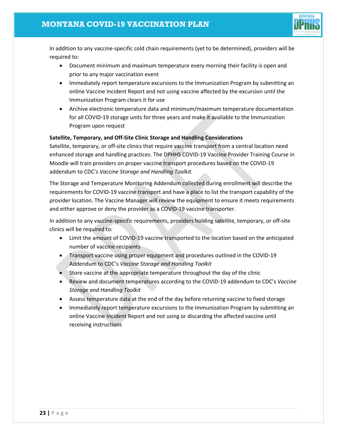

In addition to any vaccine-specific cold chain requirements (yet to be determined), providers will be required to:

- Document minimum and maximum temperature every morning their facility is open and prior to any major vaccination event
- Immediately report temperature excursions to the Immunization Program by submitting an online Vaccine Incident Report and not using vaccine affected by the excursion until the Immunization Program clears it for use
- Archive electronic temperature data and minimum/maximum temperature documentation for all COVID-19 storage units for three years and make it available to the Immunization Program upon request

## **Satellite, Temporary, and Off-Site Clinic Storage and Handling Considerations**

Satellite, temporary, or off-site clinics that require vaccine transport from a central location need enhanced storage and handling practices. The DPHHS COVID-19 Vaccine Provider Training Course in Moodle will train providers on proper vaccine transport procedures based on the COVID-19 addendum to CDC's *Vaccine Storage and Handling Toolkit.*

The Storage and Temperature Monitoring Addendum collected during enrollment will describe the requirements for COVID-19 vaccine transport and have a place to list the transport capability of the provider location. The Vaccine Manager will review the equipment to ensure it meets requirements and either approve or deny the provider as a COVID-19 vaccine transporter.

In addition to any vaccine-specific requirements, providers holding satellite, temporary, or off-site clinics will be required to:

- Limit the amount of COVID-19 vaccine transported to the location based on the anticipated number of vaccine recipients
- Transport vaccine using proper equipment and procedures outlined in the COVID-19 Addendum to CDC's *Vaccine Storage and Handling Toolkit*
- Store vaccine at the appropriate temperature throughout the day of the clinic
- Review and document temperatures according to the COVID-19 addendum to CDC's *Vaccine Storage and Handling Toolkit*
- Assess temperature data at the end of the day before returning vaccine to fixed storage
- Immediately report temperature excursions to the Immunization Program by submitting an online Vaccine Incident Report and not using or discarding the affected vaccine until receiving instructions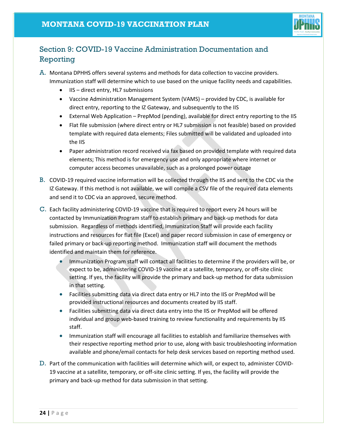

# <span id="page-24-0"></span>Section 9: COVID-19 Vaccine Administration Documentation and Reporting

A. Montana DPHHS offers several systems and methods for data collection to vaccine providers. Immunization staff will determine which to use based on the unique facility needs and capabilities.

- IIS direct entry, HL7 submissions
- Vaccine Administration Management System (VAMS) provided by CDC, is available for direct entry, reporting to the IZ Gateway, and subsequently to the IIS
- External Web Application PrepMod (pending), available for direct entry reporting to the IIS
- Flat file submission (where direct entry or HL7 submission is not feasible) based on provided template with required data elements; Files submitted will be validated and uploaded into the IIS
- Paper administration record received via fax based on provided template with required data elements; This method is for emergency use and only appropriate where internet or computer access becomes unavailable, such as a prolonged power outage
- B. COVID-19 required vaccine information will be collected through the IIS and sent to the CDC via the IZ Gateway. If this method is not available, we will compile a CSV file of the required data elements and send it to CDC via an approved, secure method.
- C. Each facility administering COVID-19 vaccine that is required to report every 24 hours will be contacted by Immunization Program staff to establish primary and back-up methods for data submission. Regardless of methods identified, Immunization Staff will provide each facility instructions and resources for flat file (Excel) and paper record submission in case of emergency or failed primary or back-up reporting method. Immunization staff will document the methods identified and maintain them for reference.
	- Immunization Program staff will contact all facilities to determine if the providers will be, or expect to be, administering COVID-19 vaccine at a satellite, temporary, or off-site clinic setting. If yes, the facility will provide the primary and back-up method for data submission in that setting.
	- Facilities submitting data via direct data entry or HL7 into the IIS or PrepMod will be provided instructional resources and documents created by IIS staff.
	- Facilities submitting data via direct data entry into the IIS or PrepMod will be offered individual and group web-based training to review functionality and requirements by IIS staff.
	- Immunization staff will encourage all facilities to establish and familiarize themselves with their respective reporting method prior to use, along with basic troubleshooting information available and phone/email contacts for help desk services based on reporting method used.
- D. Part of the communication with facilities will determine which will, or expect to, administer COVID-19 vaccine at a satellite, temporary, or off-site clinic setting. If yes, the facility will provide the primary and back-up method for data submission in that setting.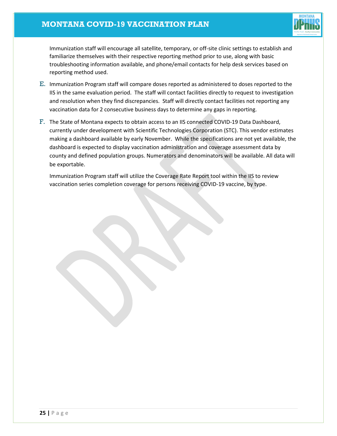# **MONTANA COVID-19 VACCINATION PLAN**



Immunization staff will encourage all satellite, temporary, or off-site clinic settings to establish and familiarize themselves with their respective reporting method prior to use, along with basic troubleshooting information available, and phone/email contacts for help desk services based on reporting method used.

- E. Immunization Program staff will compare doses reported as administered to doses reported to the IIS in the same evaluation period. The staff will contact facilities directly to request to investigation and resolution when they find discrepancies. Staff will directly contact facilities not reporting any vaccination data for 2 consecutive business days to determine any gaps in reporting.
- F. The State of Montana expects to obtain access to an IIS connected COVID-19 Data Dashboard, currently under development with Scientific Technologies Corporation (STC). This vendor estimates making a dashboard available by early November. While the specifications are not yet available, the dashboard is expected to display vaccination administration and coverage assessment data by county and defined population groups. Numerators and denominators will be available. All data will be exportable.

Immunization Program staff will utilize the Coverage Rate Report tool within the IIS to review vaccination series completion coverage for persons receiving COVID-19 vaccine, by type.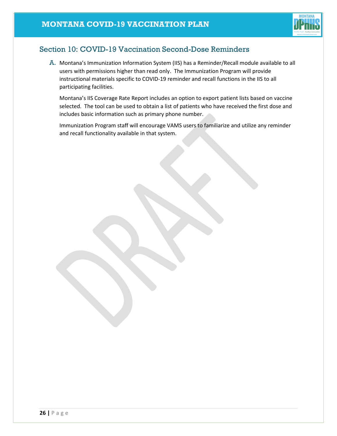

# <span id="page-26-0"></span>Section 10: COVID-19 Vaccination Second-Dose Reminders

A. Montana's Immunization Information System (IIS) has a Reminder/Recall module available to all users with permissions higher than read only. The Immunization Program will provide instructional materials specific to COVID-19 reminder and recall functions in the IIS to all participating facilities.

Montana's IIS Coverage Rate Report includes an option to export patient lists based on vaccine selected. The tool can be used to obtain a list of patients who have received the first dose and includes basic information such as primary phone number.

Immunization Program staff will encourage VAMS users to familiarize and utilize any reminder and recall functionality available in that system.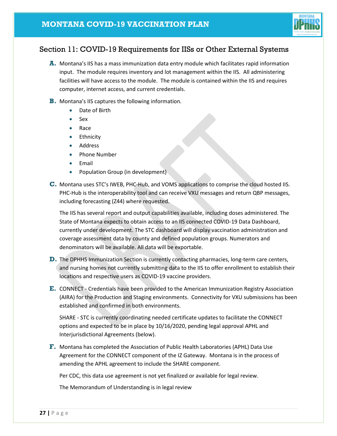

# <span id="page-27-0"></span>Section 11: COVID-19 Requirements for IISs or Other External Systems

- **A.** Montana's IIS has a mass immunization data entry module which facilitates rapid information input. The module requires inventory and lot management within the IIS. All administering facilities will have access to the module. The module is contained within the IIS and requires computer, internet access, and current credentials.
- **B.** Montana's IIS captures the following information.
	- Date of Birth
	- Sex
	- Race
	- Ethnicity
	- Address
	- Phone Number
	- Email
	- Population Group (in development)
- **C.** Montana uses STC's IWEB, PHC-Hub, and VOMS applications to comprise the cloud hosted IIS. PHC-Hub is the interoperability tool and can receive VXU messages and return QBP messages, including forecasting (Z44) where requested.

The IIS has several report and output capabilities available, including doses administered. The State of Montana expects to obtain access to an IIS connected COVID-19 Data Dashboard, currently under development. The STC dashboard will display vaccination administration and coverage assessment data by county and defined population groups. Numerators and denominators will be available. All data will be exportable.

- **D.** The DPHHS Immunization Section is currently contacting pharmacies, long-term care centers, and nursing homes not currently submitting data to the IIS to offer enrollment to establish their locations and respective users as COVID-19 vaccine providers.
- **E.** CONNECT Credentials have been provided to the American Immunization Registry Association (AIRA) for the Production and Staging environments. Connectivity for VXU submissions has been established and confirmed in both environments.

SHARE - STC is currently coordinating needed certificate updates to facilitate the CONNECT options and expected to be in place by 10/16/2020, pending legal approval APHL and Interjurisdictional Agreements (below).

**F.** Montana has completed the Association of Public Health Laboratories (APHL) Data Use Agreement for the CONNECT component of the IZ Gateway. Montana is in the process of amending the APHL agreement to include the SHARE component.

Per CDC, this data use agreement is not yet finalized or available for legal review.

The Memorandum of Understanding is in legal review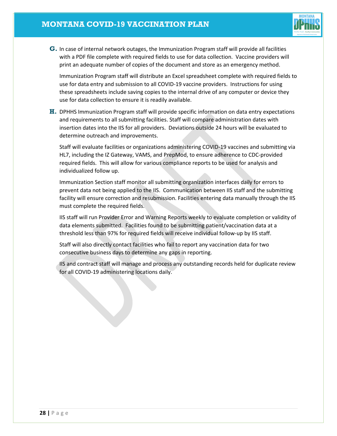

**G.** In case of internal network outages, the Immunization Program staff will provide all facilities with a PDF file complete with required fields to use for data collection. Vaccine providers will print an adequate number of copies of the document and store as an emergency method.

Immunization Program staff will distribute an Excel spreadsheet complete with required fields to use for data entry and submission to all COVID-19 vaccine providers. Instructions for using these spreadsheets include saving copies to the internal drive of any computer or device they use for data collection to ensure it is readily available.

**H.** DPHHS Immunization Program staff will provide specific information on data entry expectations and requirements to all submitting facilities. Staff will compare administration dates with insertion dates into the IIS for all providers. Deviations outside 24 hours will be evaluated to determine outreach and improvements.

Staff will evaluate facilities or organizations administering COVID-19 vaccines and submitting via HL7, including the IZ Gateway, VAMS, and PrepMod, to ensure adherence to CDC-provided required fields. This will allow for various compliance reports to be used for analysis and individualized follow up.

Immunization Section staff monitor all submitting organization interfaces daily for errors to prevent data not being applied to the IIS. Communication between IIS staff and the submitting facility will ensure correction and resubmission. Facilities entering data manually through the IIS must complete the required fields.

IIS staff will run Provider Error and Warning Reports weekly to evaluate completion or validity of data elements submitted. Facilities found to be submitting patient/vaccination data at a threshold less than 97% for required fields will receive individual follow-up by IIS staff.

Staff will also directly contact facilities who fail to report any vaccination data for two consecutive business days to determine any gaps in reporting.

IIS and contract staff will manage and process any outstanding records held for duplicate review for all COVID-19 administering locations daily.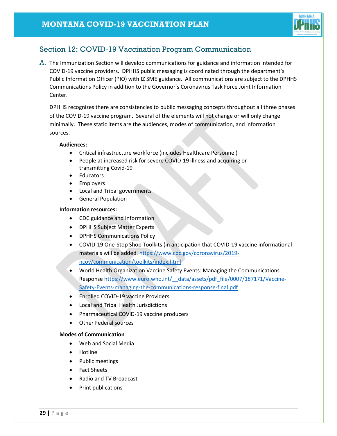

# <span id="page-29-0"></span>Section 12: COVID-19 Vaccination Program Communication

A. The Immunization Section will develop communications for guidance and information intended for COVID-19 vaccine providers. DPHHS public messaging is coordinated through the department's Public Information Officer (PIO) with IZ SME guidance. All communications are subject to the DPHHS Communications Policy in addition to the Governor's Coronavirus Task Force Joint Information Center.

DPHHS recognizes there are consistencies to public messaging concepts throughout all three phases of the COVID-19 vaccine program. Several of the elements will not change or will only change minimally. These static items are the audiences, modes of communication, and information sources.

#### **Audiences:**

- Critical infrastructure workforce (includes Healthcare Personnel)
- People at increased risk for severe COVID-19 illness and acquiring or transmitting Covid-19
- Educators
- Employers
- Local and Tribal governments
- General Population

#### **Information resources:**

- CDC guidance and information
- DPHHS Subject Matter Experts
- DPHHS Communications Policy
- COVID-19 One-Stop Shop Toolkits (in anticipation that COVID-19 vaccine informational materials will be added. [https://www.cdc.gov/coronavirus/2019](https://www.cdc.gov/coronavirus/2019-ncov/communication/toolkits/index.html) [ncov/communication/toolkits/index.html](https://www.cdc.gov/coronavirus/2019-ncov/communication/toolkits/index.html)
- World Health Organization Vaccine Safety Events: Managing the Communications Response https://www.euro.who.int/ data/assets/pdf file/0007/187171/Vaccine-[Safety-Events-managing-the-communications-response-final.pdf](https://www.euro.who.int/__data/assets/pdf_file/0007/187171/Vaccine-Safety-Events-managing-the-communications-response-final.pdf)
- Enrolled COVID-19 vaccine Providers
- Local and Tribal Health Jurisdictions
- Pharmaceutical COVID-19 vaccine producers
- Other Federal sources

#### **Modes of Communication**

- Web and Social Media
- Hotline
- Public meetings
- Fact Sheets
- Radio and TV Broadcast
- Print publications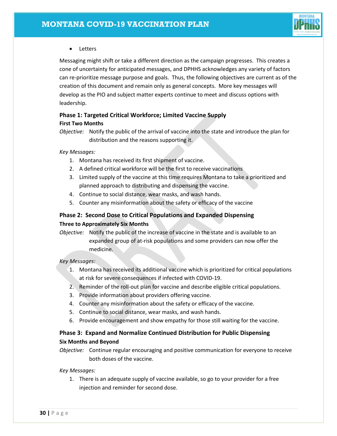

## • Letters

Messaging might shift or take a different direction as the campaign progresses. This creates a cone of uncertainty for anticipated messages, and DPHHS acknowledges any variety of factors can re-prioritize message purpose and goals. Thus, the following objectives are current as of the creation of this document and remain only as general concepts. More key messages will develop as the PIO and subject matter experts continue to meet and discuss options with leadership.

## **Phase 1: Targeted Critical Workforce; Limited Vaccine Supply First Two Months**

*Objective:* Notify the public of the arrival of vaccine into the state and introduce the plan for distribution and the reasons supporting it.

*Key Messages:*

- 1. Montana has received its first shipment of vaccine.
- 2. A defined critical workforce will be the first to receive vaccinations
- 3. Limited supply of the vaccine at this time requires Montana to take a prioritized and planned approach to distributing and dispensing the vaccine.
- 4. Continue to social distance, wear masks, and wash hands.
- 5. Counter any misinformation about the safety or efficacy of the vaccine

# **Phase 2: Second Dose to Critical Populations and Expanded Dispensing Three to Approximately Six Months**

*Objective:* Notify the public of the increase of vaccine in the state and is available to an expanded group of at-risk populations and some providers can now offer the medicine.

*Key Messages:*

- 1. Montana has received its additional vaccine which is prioritized for critical populations at risk for severe consequences if infected with COVID-19.
- 2. Reminder of the roll-out plan for vaccine and describe eligible critical populations.
- 3. Provide information about providers offering vaccine.
- 4. Counter any misinformation about the safety or efficacy of the vaccine.
- 5. Continue to social distance, wear masks, and wash hands.
- 6. Provide encouragement and show empathy for those still waiting for the vaccine.

# **Phase 3: Expand and Normalize Continued Distribution for Public Dispensing Six Months and Beyond**

*Objective:* Continue regular encouraging and positive communication for everyone to receive both doses of the vaccine.

*Key Messages:*

1. There is an adequate supply of vaccine available, so go to your provider for a free injection and reminder for second dose.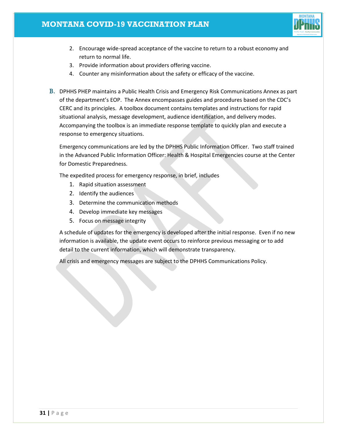

- 2. Encourage wide-spread acceptance of the vaccine to return to a robust economy and return to normal life.
- 3. Provide information about providers offering vaccine.
- 4. Counter any misinformation about the safety or efficacy of the vaccine.
- B. DPHHS PHEP maintains a Public Health Crisis and Emergency Risk Communications Annex as part of the department's EOP. The Annex encompasses guides and procedures based on the CDC's CERC and its principles. A toolbox document contains templates and instructions for rapid situational analysis, message development, audience identification, and delivery modes. Accompanying the toolbox is an immediate response template to quickly plan and execute a response to emergency situations.

Emergency communications are led by the DPHHS Public Information Officer. Two staff trained in the Advanced Public Information Officer: Health & Hospital Emergencies course at the Center for Domestic Preparedness.

The expedited process for emergency response, in brief, includes

- 1. Rapid situation assessment
- 2. Identify the audiences
- 3. Determine the communication methods
- 4. Develop immediate key messages
- 5. Focus on message integrity

A schedule of updates for the emergency is developed after the initial response. Even if no new information is available, the update event occurs to reinforce previous messaging or to add detail to the current information, which will demonstrate transparency.

<span id="page-31-0"></span>All crisis and emergency messages are subject to the DPHHS Communications Policy.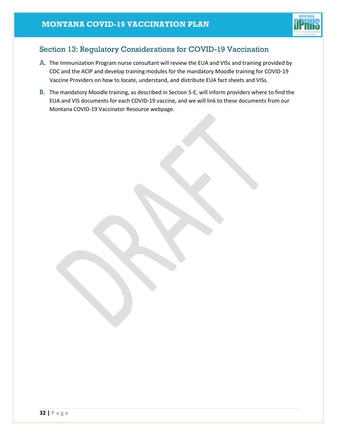

# Section 13: Regulatory Considerations for COVID-19 Vaccination

- A. The Immunization Program nurse consultant will review the EUA and VISs and training provided by CDC and the ACIP and develop training modules for the mandatory Moodle training for COVID-19 Vaccine Providers on how to locate, understand, and distribute EUA fact sheets and VISs.
- B. The mandatory Moodle training, as described in Section 5-E, will inform providers where to find the EUA and VIS documents for each COVID-19 vaccine, and we will link to these documents from our Montana COVID-19 Vaccinator Resource webpage.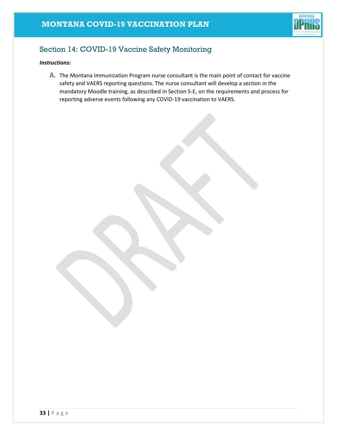

# <span id="page-33-0"></span>Section 14: COVID-19 Vaccine Safety Monitoring

## *Instructions:*

A. The Montana Immunization Program nurse consultant is the main point of contact for vaccine safety and VAERS reporting questions. The nurse consultant will develop a section in the mandatory Moodle training, as described in Section 5-E, on the requirements and process for reporting adverse events following any COVID-19 vaccination to VAERS.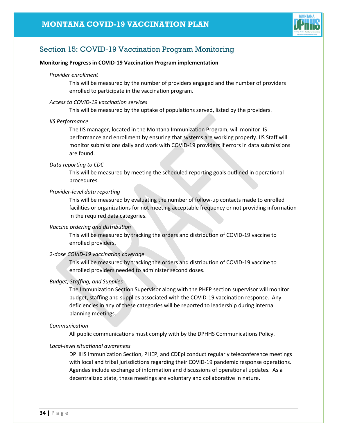

# <span id="page-34-0"></span>Section 15: COVID-19 Vaccination Program Monitoring

#### **Monitoring Progress in COVID-19 Vaccination Program implementation**

#### *Provider enrollment*

This will be measured by the number of providers engaged and the number of providers enrolled to participate in the vaccination program.

#### *Access to COVID-19 vaccination services*

This will be measured by the uptake of populations served, listed by the providers.

#### *IIS Performance*

The IIS manager, located in the Montana Immunization Program, will monitor IIS performance and enrollment by ensuring that systems are working properly. IIS Staff will monitor submissions daily and work with COVID-19 providers if errors in data submissions are found.

#### *Data reporting to CDC*

This will be measured by meeting the scheduled reporting goals outlined in operational procedures.

#### *Provider-level data reporting*

This will be measured by evaluating the number of follow-up contacts made to enrolled facilities or organizations for not meeting acceptable frequency or not providing information in the required data categories.

#### *Vaccine ordering and distribution*

This will be measured by tracking the orders and distribution of COVID-19 vaccine to enrolled providers.

#### *2-dose COVID-19 vaccination coverage*

This will be measured by tracking the orders and distribution of COVID-19 vaccine to enrolled providers needed to administer second doses.

#### *Budget, Staffing, and Supplies*

The Immunization Section Supervisor along with the PHEP section supervisor will monitor budget, staffing and supplies associated with the COVID-19 vaccination response. Any deficiencies in any of these categories will be reported to leadership during internal planning meetings.

#### *Communication*

All public communications must comply with by the DPHHS Communications Policy.

#### *Local-level situational awareness*

DPHHS Immunization Section, PHEP, and CDEpi conduct regularly teleconference meetings with local and tribal jurisdictions regarding their COVID-19 pandemic response operations. Agendas include exchange of information and discussions of operational updates. As a decentralized state, these meetings are voluntary and collaborative in nature.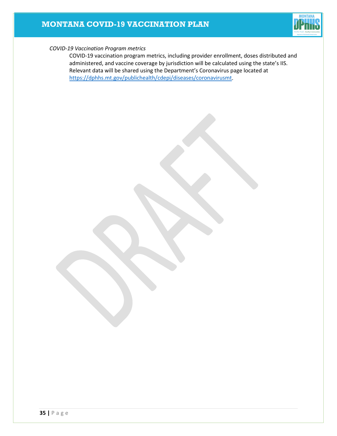# **MONTANA COVID-19 VACCINATION PLAN**



#### *COVID-19 Vaccination Program metrics*

COVID-19 vaccination program metrics, including provider enrollment, doses distributed and administered, and vaccine coverage by jurisdiction will be calculated using the state's IIS. Relevant data will be shared using the Department's Coronavirus page located at [https://dphhs.mt.gov/publichealth/cdepi/diseases/coronavirusmt.](https://dphhs.mt.gov/publichealth/cdepi/diseases/coronavirusmt)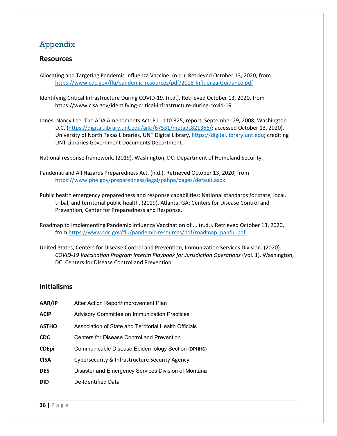# <span id="page-36-0"></span>Appendix

# **Resources**

Allocating and Targeting Pandemic Influenza Vaccine. (n.d.). Retrieved October 13, 2020, from <https://www.cdc.gov/flu/pandemic-resources/pdf/2018-Influenza-Guidance.pdf>

Identifying Critical Infrastructure During COVID-19. (n.d.). Retrieved October 13, 2020, from https://www.cisa.gov/identifying-critical-infrastructure-during-covid-19

Jones, Nancy Lee. The ADA Amendments Act: P.L. 110-325, report, September 29, 2008; Washington D.C. [\(https://digital.library.unt.edu/ark:/67531/metadc821366/:](https://digital.library.unt.edu/ark:/67531/metadc821366/) accessed October 13, 2020), University of North Texas Libraries, UNT Digital Library, [https://digital.library.unt.edu;](https://digital.library.unt.edu/) crediting UNT Libraries Government Documents Department.

National response framework. (2019). Washington, DC: Department of Homeland Security.

Pandemic and All Hazards Preparedness Act. (n.d.). Retrieved October 13, 2020, from <https://www.phe.gov/preparedness/legal/pahpa/pages/default.aspx>

- Public health emergency preparedness and response capabilities: National standards for state, local, tribal, and territorial public health. (2019). Atlanta, GA: Centers for Disease Control and Prevention, Center for Preparedness and Response.
- Roadmap to Implementing Pandemic Influenza Vaccination of ... (n.d.). Retrieved October 13, 2020, fro[m https://www.cdc.gov/flu/pandemic-resources/pdf/roadmap\\_panflu.pdf](https://www.cdc.gov/flu/pandemic-resources/pdf/roadmap_panflu.pdf)
- United States, Centers for Disease Control and Prevention, Immunization Services Division. (2020). *COVID-19 Vaccination Program Interim Playbook for Jurisdiction Operations* (Vol. 1). Washington, DC: Centers for Disease Control and Prevention.

## **Initialisms**

| AAR/IP       | After Action Report/Improvement Plan                  |
|--------------|-------------------------------------------------------|
| ACIP         | Advisory Committee on Immunization Practices          |
| ASTHO        | Association of State and Territorial Health Officials |
| CDC          | Centers for Disease Control and Prevention            |
| <b>CDEpi</b> | Communicable Disease Epidemiology Section (DPHHS)     |
| CISA         | Cybersecurity & Infrastructure Security Agency        |
| DES          | Disaster and Emergency Services Division of Montana   |
| DID          | De-Identified Data                                    |